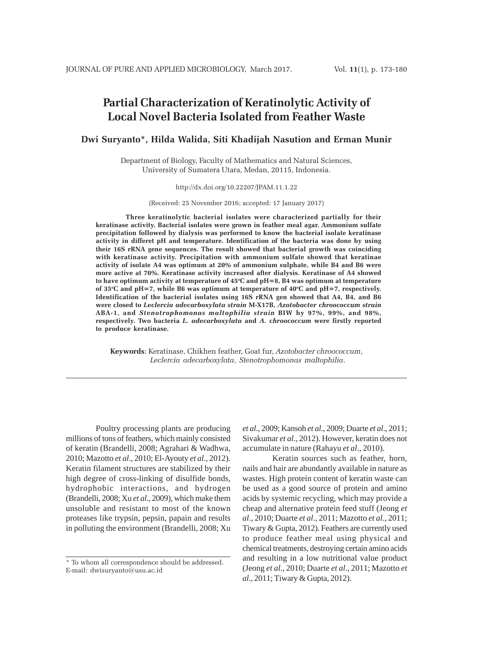# **Partial Characterization of Keratinolytic Activity of Local Novel Bacteria Isolated from Feather Waste**

# **Dwi Suryanto\*, Hilda Walida, Siti Khadijah Nasution and Erman Munir**

Department of Biology, Faculty of Mathematics and Natural Sciences, University of Sumatera Utara, Medan, 20115, Indonesia.

#### http://dx.doi.org/10.22207/JPAM.11.1.22

(Received: 25 November 2016; accepted: 17 January 2017)

**Three keratinolytic bacterial isolates were characterized partially for their keratinase activity. Bacterial isolates were grown in feather meal agar. Ammonium sulfate precipitation followed by dialysis was performed to know the bacterial isolate keratinase activity in differet pH and temperature. Identification of the bacteria was done by using their 16S rRNA gene sequences. The result showed that bacterial growth was coinciding with keratinase activity. Precipitation with ammonium sulfate showed that keratinae activity of isolate A4 was optimum at 20% of ammonium sulphate, while B4 and B6 were more active at 70%. Keratinase activity increased after dialysis. Keratinase of A4 showed** to have optimum activity at temperature of 45°C and pH=8, B4 was optimum at temperature **of 35o C and pH=7, while B6 was optimum at temperature of 40o C and pH=7, respectively. Identification of the bacterial isolates using 16S rRNA gen showed that A4, B4, and B6 were closed to** *Leclercia adecarboxylata strain* **M-X17B,** *Azotobacter chroococcum strain* **ABA-1, and** *Stenotrophomonas maltophilia strain* **BIW by 97%, 99%, and 98%, respectively. Two bacteria** *L. adecarboxylata* **and** *A. chroococcum* **were firstly reported to produce keratinase.**

**Keywords**: Keratinase, Chikhen feather, Goat fur, *Azotobacter chroococcum*, *Leclercia adecarboxylata*, *Stenotrophomonas maltophilia*.

Poultry processing plants are producing millions of tons of feathers, which mainly consisted of keratin (Brandelli, 2008; Agrahari & Wadhwa, 2010; Mazotto *et al*., 2010; El-Ayouty *et al*., 2012). Keratin filament structures are stabilized by their high degree of cross-linking of disulfide bonds, hydrophobic interactions, and hydrogen (Brandelli, 2008; Xu *et al*., 2009), which make them unsoluble and resistant to most of the known proteases like trypsin, pepsin, papain and results in polluting the environment (Brandelli, 2008; Xu

*et al*., 2009; Kansoh *et al*., 2009; Duarte *et al*., 2011; Sivakumar *et al*., 2012). However, keratin does not accumulate in nature (Rahayu *et al*., 2010).

Keratin sources such as feather, horn, nails and hair are abundantly available in nature as wastes. High protein content of keratin waste can be used as a good source of protein and amino acids by systemic recycling, which may provide a cheap and alternative protein feed stuff (Jeong *et al*., 2010; Duarte *et al*., 2011; Mazotto *et al*., 2011; Tiwary & Gupta, 2012). Feathers are currently used to produce feather meal using physical and chemical treatments, destroying certain amino acids and resulting in a low nutritional value product (Jeong *et al*., 2010; Duarte *et al*., 2011; Mazotto *et al*., 2011; Tiwary & Gupta, 2012).

<sup>\*</sup> To whom all correspondence should be addressed. E-mail: dwisuryanto@usu.ac.id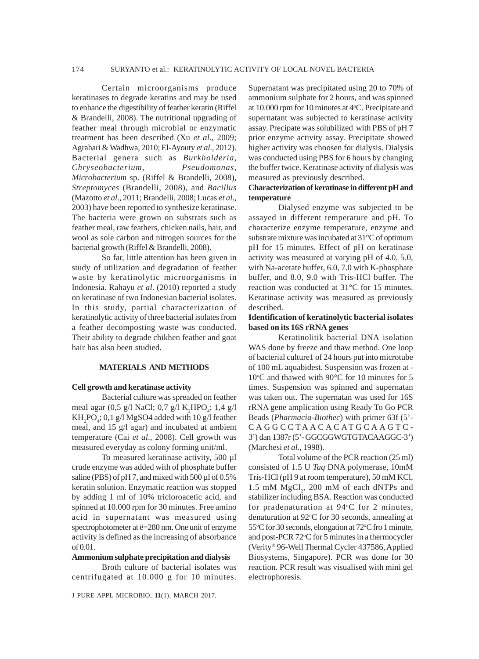#### 174 SURYANTO et al.: KERATINOLYTIC ACTIVITY OF LOCAL NOVEL BACTERIA

Certain microorganisms produce keratinases to degrade keratins and may be used to enhance the digestibility of feather keratin (Riffel & Brandelli, 2008). The nutritional upgrading of feather meal through microbial or enzymatic treatment has been described (Xu *et al*., 2009; Agrahari & Wadhwa, 2010; El-Ayouty *et al*., 2012). Bacterial genera such as *Burkholderia*, *Chryseobacterium, Pseudomonas*, *Microbacterium* sp. (Riffel & Brandelli, 2008), *Streptomyces* (Brandelli, 2008), and *Bacillus* (Mazotto *et al*., 2011; Brandelli, 2008; Lucas *et al*., 2003) have been reported to synthesize keratinase. The bacteria were grown on substrats such as feather meal, raw feathers, chicken nails, hair, and wool as sole carbon and nitrogen sources for the bacterial growth (Riffel & Brandelli, 2008).

So far, little attention has been given in study of utilization and degradation of feather waste by keratinolytic microorganisms in Indonesia. Rahayu *et al*. (2010) reported a study on keratinase of two Indonesian bacterial isolates. In this study, partial characterization of keratinolytic activity of three bacterial isolates from a feather decomposting waste was conducted. Their ability to degrade chikhen feather and goat hair has also been studied.

### **MATERIALS AND METHODS**

#### **Cell growth and keratinase activity**

Bacterial culture was spreaded on feather meal agar (0,5 g/l NaCl; 0,7 g/l  $K_2HPO_4$ ; 1,4 g/l  $KH_{2}PO_{4}$ ; 0,1 g/l MgSO4 added with 10 g/l feather meal, and 15 g/l agar) and incubated at ambient temperature (Cai *et al*.*,* 2008). Cell growth was measured everyday as colony forming unit/ml.

To measured keratinase activity, 500 µl crude enzyme was added with of phosphate buffer saline (PBS) of pH 7, and mixed with 500 µl of 0.5% keratin solution. Enzymatic reaction was stopped by adding 1 ml of 10% tricloroacetic acid, and spinned at 10.000 rpm for 30 minutes. Free amino acid in supernatant was measured using spectrophotometer at ë=280 nm. One unit of enzyme activity is defined as the increasing of absorbance of 0.01.

#### **Ammonium sulphate precipitation and dialysis**

Broth culture of bacterial isolates was centrifugated at 10.000 g for 10 minutes.

Supernatant was precipitated using 20 to 70% of ammonium sulphate for 2 hours, and was spinned at 10.000 rpm for 10 minutes at 4°C. Precipitate and supernatant was subjected to keratinase activity assay. Precipate was solubilized with PBS of pH 7 prior enzyme activity assay. Precipitate showed higher activity was choosen for dialysis. Dialysis was conducted using PBS for 6 hours by changing the buffer twice. Keratinase activity of dialysis was measured as previously described.

## **Characterization of keratinase in different pH and temperature**

Dialysed enzyme was subjected to be assayed in different temperature and pH. To characterize enzyme temperature, enzyme and substrate mixture was incubated at 31°C of optimum pH for 15 minutes. Effect of pH on keratinase activity was measured at varying pH of 4.0, 5.0, with Na-acetate buffer, 6.0, 7.0 with K-phosphate buffer, and 8.0, 9.0 with Tris-HCl buffer. The reaction was conducted at 31°C for 15 minutes. Keratinase activity was measured as previously described.

### **Identification of keratinolytic bacterial isolates based on its 16S rRNA genes**

Keratinolitik bacterial DNA isolation WAS done by freeze and thaw method. One loop of bacterial culture1 of 24 hours put into microtube of 100 mL aquabidest. Suspension was frozen at - 10°C and thawed with 90°C for 10 minutes for 5 times. Suspension was spinned and supernatan was taken out. The supernatan was used for 16S rRNA gene amplication using Ready To Go PCR Beads (*Pharmacia-Biothec*) with primer 63f (5'- CAGGCCTAACACATGCAAGTC-3') dan 1387r (5'- GGCGGWGTGTACAAGGC-3') (Marchesi *et al.*, 1998).

Total volume of the PCR reaction (25 ml) consisted of 1.5 U *Taq* DNA polymerase, 10mM Tris-HCl (pH 9 at room temperature), 50 mM KCl, 1.5 mM  $MgCl<sub>2</sub>$ , 200 mM of each dNTPs and stabilizer including BSA. Reaction was conducted for pradenaturation at 94°C for 2 minutes, denaturation at 92°C for 30 seconds, annealing at 55°C for 30 seconds, elongation at 72°C fro 1 minute, and post-PCR 72°C for 5 minutes in a thermocycler (Verity® 96-Well Thermal Cycler 437586, Applied Biosystems, Singapore). PCR was done for 30 reaction. PCR result was visualised with mini gel electrophoresis.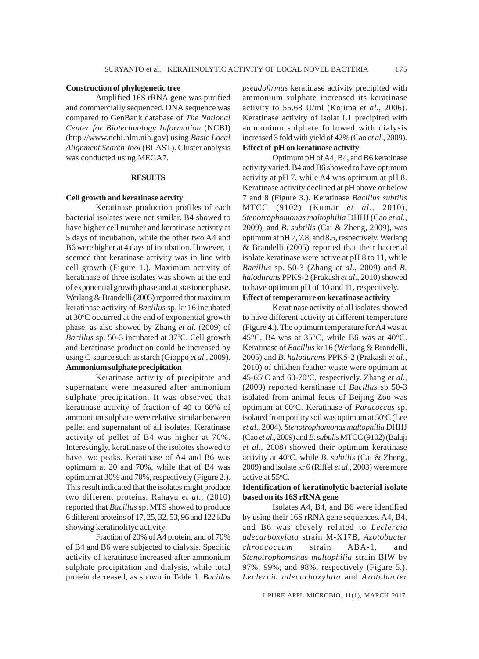#### **Construction of phylogenetic tree**

Amplified 16S rRNA gene was purified and commercially sequenced. DNA sequence was compared to GenBank database of *The National Center for Biotechnology Information* (NCBI) (http://www.ncbi.nlm.nih.gov) using *Basic Local Alignment Search Tool* (BLAST). Cluster analysis was conducted using MEGA7.

#### **RESULTS**

#### **Cell growth and keratinase actvity**

Keratinase production profiles of each bacterial isolates were not similar. B4 showed to have higher cell number and keratinase activity at 5 days of incubation, while the other two A4 and B6 were higher at 4 days of incubation. However, it seemed that keratinase activity was in line with cell growth (Figure 1.). Maximum activity of keratinase of three isolates was shown at the end of exponential growth phase and at stasioner phase. Werlang & Brandelli (2005) reported that maximum keratinase activity of *Bacillus* sp. kr 16 incubated at 30ºC occurred at the end of exponential growth phase, as also showed by Zhang *et al*. (2009) of *Bacillus* sp. 50-3 incubated at 37ºC. Cell growth and keratinase production could be increased by using C-source such as starch (Gioppo *et al*., 2009). **Ammonium sulphate precipitation**

Keratinase activity of precipitate and supernatant were measured after ammonium sulphate precipitation. It was observed that keratinase activity of fraction of 40 to 60% of ammonium sulphate were relative similar between pellet and supernatant of all isolates. Keratinase activity of pellet of B4 was higher at 70%. Interestingly, keratinase of the isolotes showed to have two peaks. Keratinase of A4 and B6 was optimum at 20 and 70%, while that of B4 was optimum at 30% and 70%, respectively (Figure 2.). This result indicated that the isolates might produce two different proteins. Rahayu *et al*., (2010) reported that *Bacillus* sp. MTS showed to produce 6 different proteins of 17, 25, 32, 53, 96 and 122 kDa showing keratinolityc activity.

Fraction of 20% of A4 protein, and of 70% of B4 and B6 were subjected to dialysis. Specific activity of keratinase increased after ammonium sulphate precipitation and dialysis, while total protein decreased, as shown in Table 1. *Bacillus* *pseudofirmus* keratinase activity precipited with ammonium sulphate increased its keratinase activity to 55.68 U/ml (Kojima *et al*., 2006). Keratinase activity of isolat L1 precipited with ammonium sulphate followed with dialysis increased 3 fold with yield of 42% (Cao *et al*., 2009). **Effect of pH on keratinase activity**

Optimum pH of A4, B4, and B6 keratinase activity varied. B4 and B6 showed to have optimum activity at pH 7, while A4 was optimum at pH 8. Keratinase activity declined at pH above or below 7 and 8 (Figure 3.). Keratinase *Bacillus subtilis* MTCC (9102) (Kumar *et al*., 2010), *Stenotrophomonas maltophilia* DHHJ (Cao *et al*., 2009), and *B. subtilis* (Cai & Zheng, 2009), was optimum at pH 7, 7.8, and 8.5, respectively. Werlang & Brandelli (2005) reported that their bacterial isolate keratinase were active at pH 8 to 11, while *Bacillus* sp. 50-3 (Zhang *et al*., 2009) and *B. halodurans* PPKS-2 (Prakash *et al*., 2010) showed to have optimum pH of 10 and 11, respectively.

## **Effect of temperature on keratinase activity**

Keratinase activity of all isolates showed to have different activity at different temperature (Figure 4.). The optimum temperature for A4 was at 45°C, B4 was at 35°C, while B6 was at 40°C. Keratinase of *Bacillus* kr 16 (Werlang & Brandelli*,* 2005) and *B. halodurans* PPKS-2 (Prakash *et al*., 2010) of chikhen feather waste were optimum at 45-65°C and 60-70°C, respectively. Zhang et al., (2009) reported keratinase of *Bacillus* sp 50-3 isolated from animal feces of Beijing Zoo was optimum at 60°C. Keratinase of *Paracoccus* sp. isolated from poultry soil was optimum at 50°C (Lee *et al*., 2004). *Stenotrophomonas maltophilia* DHHJ (Cao *et al*., 2009) and *B. subtilis* MTCC (9102) (Balaji *et al*., 2008) showed their optimum keratinase activity at 40°C, while *B. subtilis* (Cai & Zheng, 2009) and isolate kr 6 (Riffel *et al*., 2003) were more active at 55°C.

### **Identification of keratinolytic bacterial isolate based on its 16S rRNA gene**

Isolates A4, B4, and B6 were identified by using their 16S rRNA gene sequences. A4, B4, and B6 was closely related to *Leclercia adecarboxylata* strain M-X17B, *Azotobacter chroococcum* strain ABA-1, and *Stenotrophomonas maltophilia* strain BIW by 97%, 99%, and 98%, respectively (Figure 5.). *Leclercia adecarboxylata* and *Azotobacter*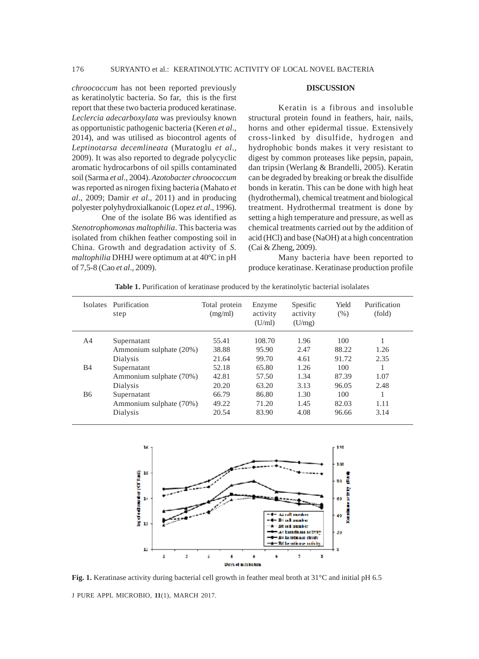*chroococcum* has not been reported previously as keratinolytic bacteria. So far, this is the first report that these two bacteria produced keratinase. *Leclercia adecarboxylata* was previoulsy known as opportunistic pathogenic bacteria (Keren *et al*., 2014), and was utilised as biocontrol agents of *Leptinotarsa decemlineata* (Muratoglu *et al*., 2009). It was also reported to degrade polycyclic aromatic hydrocarbons of oil spills contaminated soil (Sarma *et al*., 2004). *Azotobacter chroococcum* was reported as nirogen fixing bacteria (Mahato *et al*., 2009; Damir *et al*., 2011) and in producing polyester polyhydroxialkanoic (Lopez *et al*., 1996).

One of the isolate B6 was identified as *Stenotrophomonas maltophilia*. This bacteria was isolated from chikhen feather composting soil in China. Growth and degradation activity of *S. maltophilia* DHHJ were optimum at at 40ºC in pH of 7,5-8 (Cao *et al*., 2009).

#### **DISCUSSION**

Keratin is a fibrous and insoluble structural protein found in feathers, hair, nails, horns and other epidermal tissue. Extensively cross-linked by disulfide, hydrogen and hydrophobic bonds makes it very resistant to digest by common proteases like pepsin, papain, dan tripsin (Werlang & Brandelli, 2005). Keratin can be degraded by breaking or break the disulfide bonds in keratin. This can be done with high heat (hydrothermal), chemical treatment and biological treatment. Hydrothermal treatment is done by setting a high temperature and pressure, as well as chemical treatments carried out by the addition of acid (HCl) and base (NaOH) at a high concentration (Cai & Zheng, 2009).

Many bacteria have been reported to produce keratinase. Keratinase production profile

**Table 1.** Purification of keratinase produced by the keratinolytic bacterial isolalates

| <b>Isolates</b> | Purification<br>step    | Total protein<br>(mg/ml) | Enzyme<br>activity<br>(U/ml) | Spesific<br>activity<br>(U/mg) | Yield<br>(% ) | Purification<br>(fold) |
|-----------------|-------------------------|--------------------------|------------------------------|--------------------------------|---------------|------------------------|
| A4              | Supernatant             | 55.41                    | 108.70                       | 1.96                           | 100           |                        |
|                 | Ammonium sulphate (20%) | 38.88                    | 95.90                        | 2.47                           | 88.22         | 1.26                   |
|                 | Dialysis                | 21.64                    | 99.70                        | 4.61                           | 91.72         | 2.35                   |
| <b>B4</b>       | Supernatant             | 52.18                    | 65.80                        | 1.26                           | 100           |                        |
|                 | Ammonium sulphate (70%) | 42.81                    | 57.50                        | 1.34                           | 87.39         | 1.07                   |
|                 | Dialysis                | 20.20                    | 63.20                        | 3.13                           | 96.05         | 2.48                   |
| B6              | Supernatant             | 66.79                    | 86.80                        | 1.30                           | 100           |                        |
|                 | Ammonium sulphate (70%) | 49.22                    | 71.20                        | 1.45                           | 82.03         | 1.11                   |
|                 | Dialysis                | 20.54                    | 83.90                        | 4.08                           | 96.66         | 3.14                   |



J PURE APPL MICROBIO*,* **11**(1), MARCH 2017. **Fig. 1.** Keratinase activity during bacterial cell growth in feather meal broth at 31°C and initial pH 6.5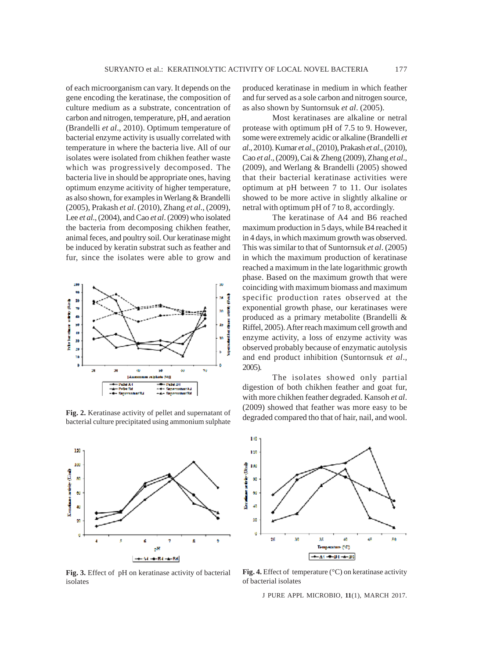of each microorganism can vary. It depends on the gene encoding the keratinase, the composition of culture medium as a substrate, concentration of carbon and nitrogen, temperature, pH, and aeration (Brandelli *et al*., 2010). Optimum temperature of bacterial enzyme activity is usually correlated with temperature in where the bacteria live. All of our isolates were isolated from chikhen feather waste which was progressively decomposed. The bacteria live in should be appropriate ones, having optimum enzyme acitivity of higher temperature, as also shown, for examples in Werlang & Brandelli (2005), Prakash *et al*. (2010), Zhang *et al*., (2009), Lee *et al*., (2004), and Cao *et al*. (2009) who isolated the bacteria from decomposing chikhen feather, animal feces, and poultry soil. Our keratinase might be induced by keratin substrat such as feather and fur, since the isolates were able to grow and



**Fig. 2.** Keratinase activity of pellet and supernatant of bacterial culture precipitated using ammonium sulphate



**Fig. 3.** Effect of pH on keratinase activity of bacterial isolates

produced keratinase in medium in which feather and fur served as a sole carbon and nitrogen source, as also shown by Suntornsuk *et al*. (2005).

Most keratinases are alkaline or netral protease with optimum pH of 7.5 to 9. However, some were extremely acidic or alkaline (Brandelli *et al*., 2010). Kumar *et al*., (2010), Prakash *et al*., (2010), Cao *et al*., (2009), Cai & Zheng (2009), Zhang *et al*., (2009), and Werlang & Brandelli (2005) showed that their bacterial keratinase activities were optimum at pH between 7 to 11. Our isolates showed to be more active in slightly alkaline or netral with optimum pH of 7 to 8, accordingly.

The keratinase of A4 and B6 reached maximum production in 5 days, while B4 reached it in 4 days, in which maximum growth was observed. This was similar to that of Suntornsuk *et al*. (2005) in which the maximum production of keratinase reached a maximum in the late logarithmic growth phase. Based on the maximum growth that were coinciding with maximum biomass and maximum specific production rates observed at the exponential growth phase, our keratinases were produced as a primary metabolite (Brandelli & Riffel, 2005). After reach maximum cell growth and enzyme activity, a loss of enzyme activity was observed probably because of enzymatic autolysis and end product inhibition (Suntornsuk *et al*., 2005).

The isolates showed only partial digestion of both chikhen feather and goat fur, with more chikhen feather degraded. Kansoh *et al*. (2009) showed that feather was more easy to be degraded compared tho that of hair, nail, and wool.



**Fig. 4.** Effect of temperature (°C) on keratinase activity of bacterial isolates

J PURE APPL MICROBIO*,* **11**(1), MARCH 2017.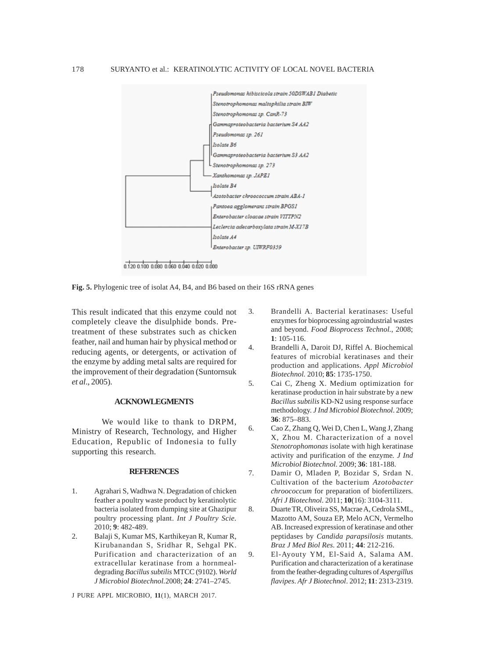

**Fig. 5.** Phylogenic tree of isolat A4, B4, and B6 based on their 16S rRNA genes

This result indicated that this enzyme could not completely cleave the disulphide bonds. Pretreatment of these substrates such as chicken feather, nail and human hair by physical method or reducing agents, or detergents, or activation of the enzyme by adding metal salts are required for the improvement of their degradation (Suntornsuk *et al*., 2005).

## **ACKNOWLEGMENTS**

We would like to thank to DRPM, Ministry of Research, Technology, and Higher Education, Republic of Indonesia to fully supporting this research.

## **REFERENCES**

- 1. Agrahari S, Wadhwa N. Degradation of chicken feather a poultry waste product by keratinolytic bacteria isolated from dumping site at Ghazipur poultry processing plant. *Int J Poultry Scie.* 2010; **9**: 482-489.
- 2. Balaji S, Kumar MS, Karthikeyan R, Kumar R, Kirubanandan S, Sridhar R, Sehgal PK. Purification and characterization of an extracellular keratinase from a hornmealdegrading *Bacillus subtilis* MTCC (9102). *World J Microbiol Biotechnol.*2008; **24**: 2741–2745.

J PURE APPL MICROBIO*,* **11**(1), MARCH 2017.

- 3. Brandelli A. Bacterial keratinases: Useful enzymes for bioprocessing agroindustrial wastes and beyond. *Food Bioprocess Technol.*, 2008; **1**: 105-116.
- 4. Brandelli A, Daroit DJ, Riffel A. Biochemical features of microbial keratinases and their production and applications. *Appl Microbiol Biotechnol.* 2010; **85**: 1735-1750.
- 5. Cai C, Zheng X. Medium optimization for keratinase production in hair substrate by a new *Bacillus subtilis* KD-N2 using response surface methodology. *J Ind Microbiol Biotechnol*. 2009; **36**: 875–883.
- 6. Cao Z, Zhang Q, Wei D, Chen L, Wang J, Zhang X, Zhou M. Characterization of a novel *Stenotrophomonas* isolate with high keratinase activity and purification of the enzyme*. J Ind Microbiol Biotechnol.* 2009; **36**: 181-188.
- 7. Damir O, Mladen P, Bozidar S, Srdan N. Cultivation of the bacterium *Azotobacter chroococcum* for preparation of biofertilizers*. Afri J Biotechnol.* 2011; **10**(16): 3104-3111.
- 8. Duarte TR, Oliveira SS, Macrae A, Cedrola SML, Mazotto AM, Souza EP, Melo ACN, Vermelho AB. Increased expression of keratinase and other peptidases by *Candida parapsilosis* mutants. *Braz J Med Biol Res*. 2011; **44**: 212-216.
- 9. El-Ayouty YM, El-Said A, Salama AM. Purification and characterization of a keratinase from the feather-degrading cultures of *Aspergillus flavipes*. *Afr J Biotechnol*. 2012; **11**: 2313-2319.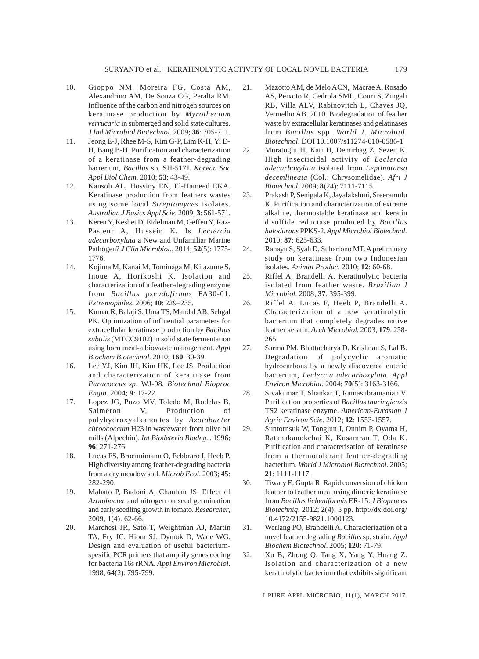- 10. Gioppo NM, Moreira FG, Costa AM, Alexandrino AM, De Souza CG, Peralta RM. Influence of the carbon and nitrogen sources on keratinase production by *Myrothecium verrucaria* in submerged and solid state cultures. *J Ind Microbiol Biotechnol.* 2009; **36**: 705-711.
- 11. Jeong E-J, Rhee M-S, Kim G-P, Lim K-H, Yi D-H, Bang B-H. Purification and characterization of a keratinase from a feather-degrading bacterium, *Bacillus* sp. SH-517J. *Korean Soc Appl Biol Chem*. 2010; **53**: 43-49.
- 12. Kansoh AL, Hossiny EN, El-Hameed EKA. Keratinase production from feathers wastes using some local *Streptomyces* isolates. *Australian J Basics Appl Scie*. 2009; **3**: 561-571.
- 13. Keren Y, Keshet D, Eidelman M, Geffen Y, Raz-Pasteur A, Hussein K. Is *Leclercia adecarboxylata* a New and Unfamiliar Marine Pathogen? *J Clin Microbiol.,* 2014; **52**(5): 1775- 1776.
- 14. Kojima M, Kanai M, Tominaga M, Kitazume S, Inoue A, Horikoshi K. Isolation and characterization of a feather-degrading enzyme from *Bacillus pseudofirmus* FA30-01*. Extremophiles.* 2006; **10**: 229–235.
- 15. Kumar R, Balaji S, Uma TS, Mandal AB, Sehgal PK. Optimization of influential parameters for extracellular keratinase production by *Bacillus subtilis* (MTCC9102) in solid state fermentation using horn meal-a biowaste management. *Appl Biochem Biotechnol.* 2010; **160**: 30-39.
- 16. Lee YJ, Kim JH, Kim HK, Lee JS. Production and characterization of keratinase from *Paracoccus sp.* WJ-98*. Biotechnol Bioproc Engin.* 2004; **9**: 17-22.
- 17. Lopez JG, Pozo MV, Toledo M, Rodelas B, Salmeron V, Production of polyhydroxyalkanoates by *Azotobacter chroococcum* H23 in wastewater from olive oil mills (Alpechin). *Int Biodeterio Biodeg.* . 1996; **96**: 271-276.
- 18. Lucas FS, Broennimann O, Febbraro I, Heeb P. High diversity among feather-degrading bacteria from a dry meadow soil. *Microb Ecol*. 2003; **45**: 282-290.
- 19. Mahato P, Badoni A, Chauhan JS. Effect of *Azotobacter* and nitrogen on seed germination and early seedling growth in tomato. *Researcher*, 2009; **1**(4): 62-66.
- 20. Marchesi JR, Sato T, Weightman AJ, Martin TA, Fry JC, Hiom SJ, Dymok D, Wade WG. Design and evaluation of useful bacteriumspesific PCR primers that amplify genes coding for bacteria 16s rRNA*. Appl Environ Microbiol.* 1998; **64**(2): 795-799.
- 21. Mazotto AM, de Melo ACN, Macrae A, Rosado AS, Peixoto R, Cedrola SML, Couri S, Zingali RB, Villa ALV, Rabinovitch L, Chaves JQ, Vermelho AB. 2010. Biodegradation of feather waste by extracellular keratinases and gelatinases from *Bacillus* spp. *World J. Microbiol. Biotechnol*. DOI 10.1007/s11274-010-0586-1
- 22. Muratoglu H, Kati H, Demirbag Z, Sezen K. High insecticidal activity of *Leclercia adecarboxylata* isolated from *Leptinotarsa decemlineata* (Col.: Chrysomelidae)*. Afri J Biotechnol.* 2009; **8**(24): 7111-7115.
- 23. Prakash P, Senigala K, Jayalakshmi, Sreeramulu K. Purification and characterization of extreme alkaline, thermostable keratinase and keratin disulfide reductase produced by *Bacillus halodurans* PPKS-2. *Appl Microbiol Biotechnol.* 2010; **87**: 625-633.
- 24. Rahayu S, Syah D, Suhartono MT. A preliminary study on keratinase from two Indonesian isolates. *Animal Produc.* 2010; **12**: 60-68.
- 25. Riffel A, Brandelli A. Keratinolytic bacteria isolated from feather waste. *Brazilian J Microbiol.* 2008; **37**: 395-399.
- 26. Riffel A, Lucas F, Heeb P, Brandelli A. Characterization of a new keratinolytic bacterium that completely degrades native feather keratin. *Arch Microbiol.* 2003; **179**: 258- 265.
- 27. Sarma PM, Bhattacharya D, Krishnan S, Lal B. Degradation of polycyclic aromatic hydrocarbons by a newly discovered enteric bacterium, *Leclercia adecarboxylata. Appl Environ Microbiol*. 2004; **70**(5): 3163-3166.
- 28. Sivakumar T, Shankar T, Ramasubramanian V. Purification properties of *Bacillus thuringiensis* TS2 keratinase enzyme. *American-Eurasian J Agric Environ Scie*. 2012; **12**: 1553-1557.
- 29. Suntornsuk W, Tongjun J, Onnim P, Oyama H, Ratanakanokchai K, Kusamran T, Oda K. Purification and characterisation of keratinase from a thermotolerant feather-degrading bacterium. *World J Microbiol Biotechnol*. 2005; **21**: 1111-1117.
- 30. Tiwary E, Gupta R. Rapid conversion of chicken feather to feather meal using dimeric keratinase from *Bacillus licheniformis* ER-15. *J Bioproces Biotechniq*. 2012; **2**(4): 5 pp. http://dx.doi.org/ 10.4172/2155-9821.1000123.
- 31. Werlang PO, Brandelli A*.* Characterization of a novel feather degrading *Bacillus* sp*.* strain*. Appl Biochem Biotechnol*. 2005; **120**: 71-79.
- 32. Xu B, Zhong Q, Tang X, Yang Y, Huang Z. Isolation and characterization of a new keratinolytic bacterium that exhibits significant

J PURE APPL MICROBIO*,* **11**(1), MARCH 2017.